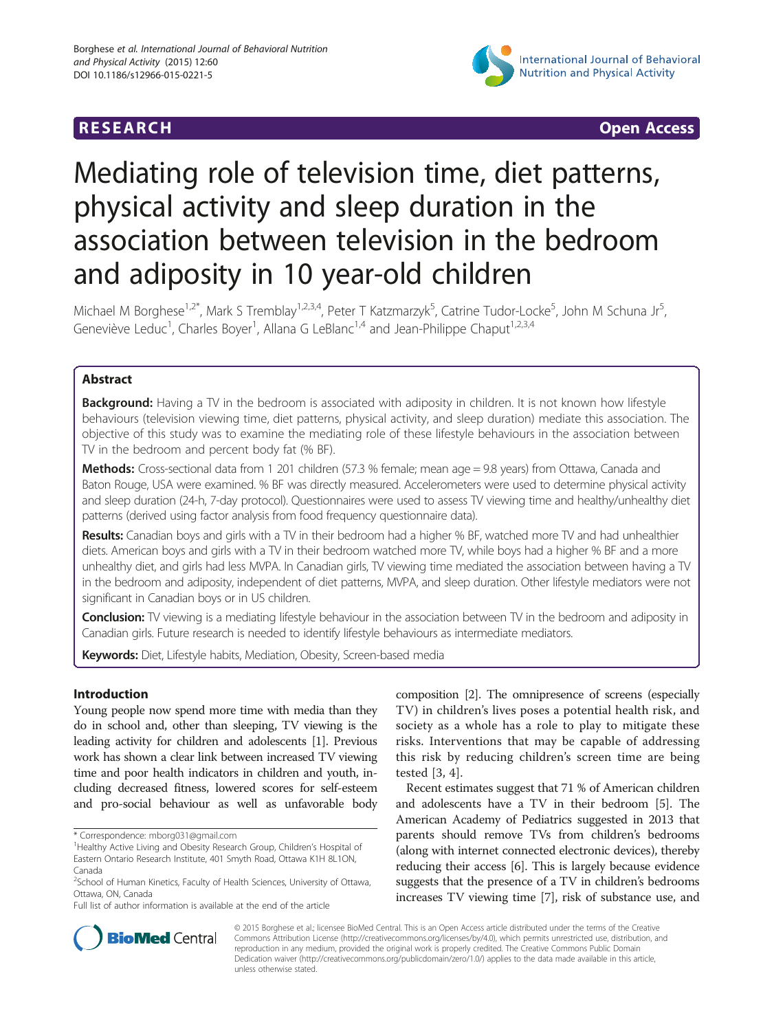

**RESEARCH RESEARCH CONSUMING ACCESS** 

# Mediating role of television time, diet patterns, physical activity and sleep duration in the association between television in the bedroom and adiposity in 10 year-old children

Michael M Borghese<sup>1,2\*</sup>, Mark S Tremblay<sup>1,2,3,4</sup>, Peter T Katzmarzyk<sup>5</sup>, Catrine Tudor-Locke<sup>5</sup>, John M Schuna Jr<sup>5</sup> , Geneviève Leduc<sup>1</sup>, Charles Boyer<sup>1</sup>, Allana G LeBlanc<sup>1,4</sup> and Jean-Philippe Chaput<sup>1,2,3,4</sup>

# Abstract

Background: Having a TV in the bedroom is associated with adiposity in children. It is not known how lifestyle behaviours (television viewing time, diet patterns, physical activity, and sleep duration) mediate this association. The objective of this study was to examine the mediating role of these lifestyle behaviours in the association between TV in the bedroom and percent body fat (% BF).

Methods: Cross-sectional data from 1 201 children (57.3 % female; mean age = 9.8 years) from Ottawa, Canada and Baton Rouge, USA were examined. % BF was directly measured. Accelerometers were used to determine physical activity and sleep duration (24-h, 7-day protocol). Questionnaires were used to assess TV viewing time and healthy/unhealthy diet patterns (derived using factor analysis from food frequency questionnaire data).

Results: Canadian boys and girls with a TV in their bedroom had a higher % BF, watched more TV and had unhealthier diets. American boys and girls with a TV in their bedroom watched more TV, while boys had a higher % BF and a more unhealthy diet, and girls had less MVPA. In Canadian girls, TV viewing time mediated the association between having a TV in the bedroom and adiposity, independent of diet patterns, MVPA, and sleep duration. Other lifestyle mediators were not significant in Canadian boys or in US children.

Conclusion: TV viewing is a mediating lifestyle behaviour in the association between TV in the bedroom and adiposity in Canadian girls. Future research is needed to identify lifestyle behaviours as intermediate mediators.

Keywords: Diet, Lifestyle habits, Mediation, Obesity, Screen-based media

# Introduction

Young people now spend more time with media than they do in school and, other than sleeping, TV viewing is the leading activity for children and adolescents [\[1\]](#page-8-0). Previous work has shown a clear link between increased TV viewing time and poor health indicators in children and youth, including decreased fitness, lowered scores for self-esteem and pro-social behaviour as well as unfavorable body

Full list of author information is available at the end of the article

composition [[2](#page-8-0)]. The omnipresence of screens (especially TV) in children's lives poses a potential health risk, and society as a whole has a role to play to mitigate these risks. Interventions that may be capable of addressing this risk by reducing children's screen time are being tested [[3, 4\]](#page-8-0).

Recent estimates suggest that 71 % of American children and adolescents have a TV in their bedroom [[5](#page-8-0)]. The American Academy of Pediatrics suggested in 2013 that parents should remove TVs from children's bedrooms (along with internet connected electronic devices), thereby reducing their access [\[6\]](#page-8-0). This is largely because evidence suggests that the presence of a TV in children's bedrooms increases TV viewing time [\[7](#page-8-0)], risk of substance use, and



© 2015 Borghese et al.; licensee BioMed Central. This is an Open Access article distributed under the terms of the Creative Commons Attribution License [\(http://creativecommons.org/licenses/by/4.0\)](http://creativecommons.org/licenses/by/4.0), which permits unrestricted use, distribution, and reproduction in any medium, provided the original work is properly credited. The Creative Commons Public Domain Dedication waiver [\(http://creativecommons.org/publicdomain/zero/1.0/](http://creativecommons.org/publicdomain/zero/1.0/)) applies to the data made available in this article, unless otherwise stated.

<sup>\*</sup> Correspondence: [mborg031@gmail.com](mailto:mborg031@gmail.com) <sup>1</sup>

<sup>&</sup>lt;sup>1</sup> Healthy Active Living and Obesity Research Group, Children's Hospital of Eastern Ontario Research Institute, 401 Smyth Road, Ottawa K1H 8L1ON, Canada

<sup>&</sup>lt;sup>2</sup>School of Human Kinetics, Faculty of Health Sciences, University of Ottawa, Ottawa, ON, Canada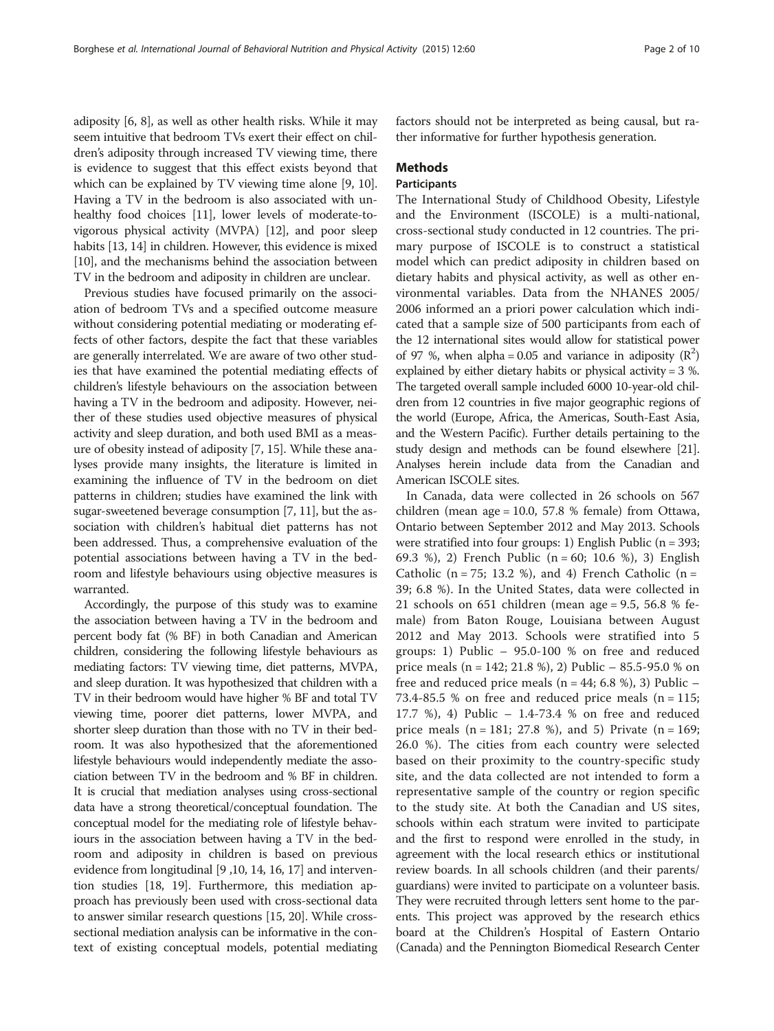adiposity [\[6](#page-8-0), [8](#page-8-0)], as well as other health risks. While it may seem intuitive that bedroom TVs exert their effect on children's adiposity through increased TV viewing time, there is evidence to suggest that this effect exists beyond that which can be explained by TV viewing time alone [[9](#page-8-0), [10](#page-8-0)]. Having a TV in the bedroom is also associated with un-healthy food choices [\[11\]](#page-9-0), lower levels of moderate-tovigorous physical activity (MVPA) [\[12](#page-9-0)], and poor sleep habits [\[13, 14](#page-9-0)] in children. However, this evidence is mixed [[10](#page-8-0)], and the mechanisms behind the association between TV in the bedroom and adiposity in children are unclear.

Previous studies have focused primarily on the association of bedroom TVs and a specified outcome measure without considering potential mediating or moderating effects of other factors, despite the fact that these variables are generally interrelated. We are aware of two other studies that have examined the potential mediating effects of children's lifestyle behaviours on the association between having a TV in the bedroom and adiposity. However, neither of these studies used objective measures of physical activity and sleep duration, and both used BMI as a measure of obesity instead of adiposity [\[7,](#page-8-0) [15](#page-9-0)]. While these analyses provide many insights, the literature is limited in examining the influence of TV in the bedroom on diet patterns in children; studies have examined the link with sugar-sweetened beverage consumption [\[7,](#page-8-0) [11](#page-9-0)], but the association with children's habitual diet patterns has not been addressed. Thus, a comprehensive evaluation of the potential associations between having a TV in the bedroom and lifestyle behaviours using objective measures is warranted.

Accordingly, the purpose of this study was to examine the association between having a TV in the bedroom and percent body fat (% BF) in both Canadian and American children, considering the following lifestyle behaviours as mediating factors: TV viewing time, diet patterns, MVPA, and sleep duration. It was hypothesized that children with a TV in their bedroom would have higher % BF and total TV viewing time, poorer diet patterns, lower MVPA, and shorter sleep duration than those with no TV in their bedroom. It was also hypothesized that the aforementioned lifestyle behaviours would independently mediate the association between TV in the bedroom and % BF in children. It is crucial that mediation analyses using cross-sectional data have a strong theoretical/conceptual foundation. The conceptual model for the mediating role of lifestyle behaviours in the association between having a TV in the bedroom and adiposity in children is based on previous evidence from longitudinal [\[9 ,10](#page-8-0), [14, 16, 17\]](#page-9-0) and intervention studies [[18](#page-9-0), [19\]](#page-9-0). Furthermore, this mediation approach has previously been used with cross-sectional data to answer similar research questions [[15](#page-9-0), [20\]](#page-9-0). While crosssectional mediation analysis can be informative in the context of existing conceptual models, potential mediating

factors should not be interpreted as being causal, but rather informative for further hypothesis generation.

## Methods

### Participants

The International Study of Childhood Obesity, Lifestyle and the Environment (ISCOLE) is a multi-national, cross-sectional study conducted in 12 countries. The primary purpose of ISCOLE is to construct a statistical model which can predict adiposity in children based on dietary habits and physical activity, as well as other environmental variables. Data from the NHANES 2005/ 2006 informed an a priori power calculation which indicated that a sample size of 500 participants from each of the 12 international sites would allow for statistical power of 97 %, when alpha = 0.05 and variance in adiposity  $(R^2)$ explained by either dietary habits or physical activity = 3 %. The targeted overall sample included 6000 10-year-old children from 12 countries in five major geographic regions of the world (Europe, Africa, the Americas, South-East Asia, and the Western Pacific). Further details pertaining to the study design and methods can be found elsewhere [\[21](#page-9-0)]. Analyses herein include data from the Canadian and American ISCOLE sites.

In Canada, data were collected in 26 schools on 567 children (mean age = 10.0, 57.8 % female) from Ottawa, Ontario between September 2012 and May 2013. Schools were stratified into four groups: 1) English Public (n = 393; 69.3 %), 2) French Public (n = 60; 10.6 %), 3) English Catholic ( $n = 75$ ; 13.2 %), and 4) French Catholic ( $n =$ 39; 6.8 %). In the United States, data were collected in 21 schools on 651 children (mean age = 9.5, 56.8 % female) from Baton Rouge, Louisiana between August 2012 and May 2013. Schools were stratified into 5 groups: 1) Public – 95.0-100 % on free and reduced price meals (n = 142; 21.8 %), 2) Public – 85.5-95.0 % on free and reduced price meals ( $n = 44$ ; 6.8 %), 3) Public – 73.4-85.5 % on free and reduced price meals  $(n = 115;$ 17.7 %), 4) Public – 1.4-73.4 % on free and reduced price meals (n = 181; 27.8 %), and 5) Private (n = 169; 26.0 %). The cities from each country were selected based on their proximity to the country-specific study site, and the data collected are not intended to form a representative sample of the country or region specific to the study site. At both the Canadian and US sites, schools within each stratum were invited to participate and the first to respond were enrolled in the study, in agreement with the local research ethics or institutional review boards. In all schools children (and their parents/ guardians) were invited to participate on a volunteer basis. They were recruited through letters sent home to the parents. This project was approved by the research ethics board at the Children's Hospital of Eastern Ontario (Canada) and the Pennington Biomedical Research Center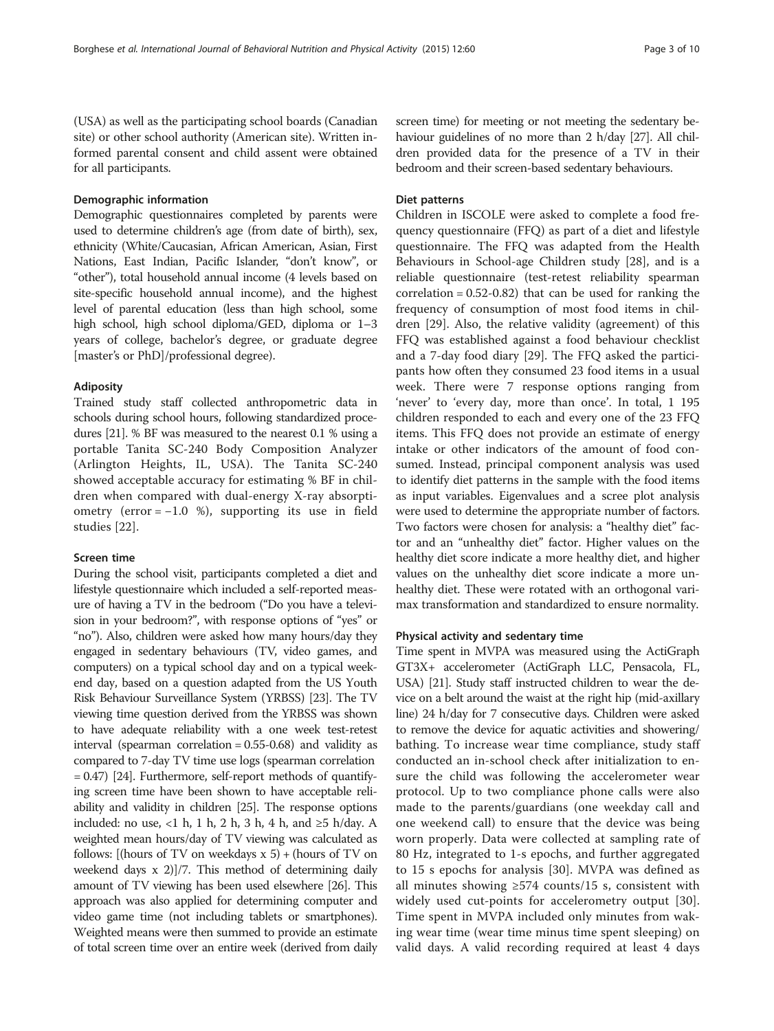(USA) as well as the participating school boards (Canadian site) or other school authority (American site). Written informed parental consent and child assent were obtained for all participants.

#### Demographic information

Demographic questionnaires completed by parents were used to determine children's age (from date of birth), sex, ethnicity (White/Caucasian, African American, Asian, First Nations, East Indian, Pacific Islander, "don't know", or "other"), total household annual income (4 levels based on site-specific household annual income), and the highest level of parental education (less than high school, some high school, high school diploma/GED, diploma or  $1-3$ years of college, bachelor's degree, or graduate degree [master's or PhD]/professional degree).

#### Adiposity

Trained study staff collected anthropometric data in schools during school hours, following standardized procedures [\[21](#page-9-0)]. % BF was measured to the nearest 0.1 % using a portable Tanita SC-240 Body Composition Analyzer (Arlington Heights, IL, USA). The Tanita SC-240 showed acceptable accuracy for estimating % BF in children when compared with dual-energy X-ray absorptiometry (error =  $-1.0$  %), supporting its use in field studies [[22\]](#page-9-0).

#### Screen time

During the school visit, participants completed a diet and lifestyle questionnaire which included a self-reported measure of having a TV in the bedroom ("Do you have a television in your bedroom?", with response options of "yes" or "no"). Also, children were asked how many hours/day they engaged in sedentary behaviours (TV, video games, and computers) on a typical school day and on a typical weekend day, based on a question adapted from the US Youth Risk Behaviour Surveillance System (YRBSS) [\[23](#page-9-0)]. The TV viewing time question derived from the YRBSS was shown to have adequate reliability with a one week test-retest interval (spearman correlation  $= 0.55 - 0.68$ ) and validity as compared to 7-day TV time use logs (spearman correlation = 0.47) [[24](#page-9-0)]. Furthermore, self-report methods of quantifying screen time have been shown to have acceptable reliability and validity in children [\[25\]](#page-9-0). The response options included: no use, <1 h, 1 h, 2 h, 3 h, 4 h, and ≥5 h/day. A weighted mean hours/day of TV viewing was calculated as follows: [(hours of TV on weekdays  $x 5$ ) + (hours of TV on weekend days x 2)]/7. This method of determining daily amount of TV viewing has been used elsewhere [\[26\]](#page-9-0). This approach was also applied for determining computer and video game time (not including tablets or smartphones). Weighted means were then summed to provide an estimate of total screen time over an entire week (derived from daily

screen time) for meeting or not meeting the sedentary behaviour guidelines of no more than 2 h/day [[27](#page-9-0)]. All children provided data for the presence of a TV in their bedroom and their screen-based sedentary behaviours.

#### Diet patterns

Children in ISCOLE were asked to complete a food frequency questionnaire (FFQ) as part of a diet and lifestyle questionnaire. The FFQ was adapted from the Health Behaviours in School-age Children study [[28](#page-9-0)], and is a reliable questionnaire (test-retest reliability spearman correlation  $= 0.52 - 0.82$ ) that can be used for ranking the frequency of consumption of most food items in children [[29](#page-9-0)]. Also, the relative validity (agreement) of this FFQ was established against a food behaviour checklist and a 7-day food diary [\[29](#page-9-0)]. The FFQ asked the participants how often they consumed 23 food items in a usual week. There were 7 response options ranging from 'never' to 'every day, more than once'. In total, 1 195 children responded to each and every one of the 23 FFQ items. This FFQ does not provide an estimate of energy intake or other indicators of the amount of food consumed. Instead, principal component analysis was used to identify diet patterns in the sample with the food items as input variables. Eigenvalues and a scree plot analysis were used to determine the appropriate number of factors. Two factors were chosen for analysis: a "healthy diet" factor and an "unhealthy diet" factor. Higher values on the healthy diet score indicate a more healthy diet, and higher values on the unhealthy diet score indicate a more unhealthy diet. These were rotated with an orthogonal varimax transformation and standardized to ensure normality.

#### Physical activity and sedentary time

Time spent in MVPA was measured using the ActiGraph GT3X+ accelerometer (ActiGraph LLC, Pensacola, FL, USA) [\[21](#page-9-0)]. Study staff instructed children to wear the device on a belt around the waist at the right hip (mid-axillary line) 24 h/day for 7 consecutive days. Children were asked to remove the device for aquatic activities and showering/ bathing. To increase wear time compliance, study staff conducted an in-school check after initialization to ensure the child was following the accelerometer wear protocol. Up to two compliance phone calls were also made to the parents/guardians (one weekday call and one weekend call) to ensure that the device was being worn properly. Data were collected at sampling rate of 80 Hz, integrated to 1-s epochs, and further aggregated to 15 s epochs for analysis [\[30](#page-9-0)]. MVPA was defined as all minutes showing  $\geq 574$  counts/15 s, consistent with widely used cut-points for accelerometry output [\[30](#page-9-0)]. Time spent in MVPA included only minutes from waking wear time (wear time minus time spent sleeping) on valid days. A valid recording required at least 4 days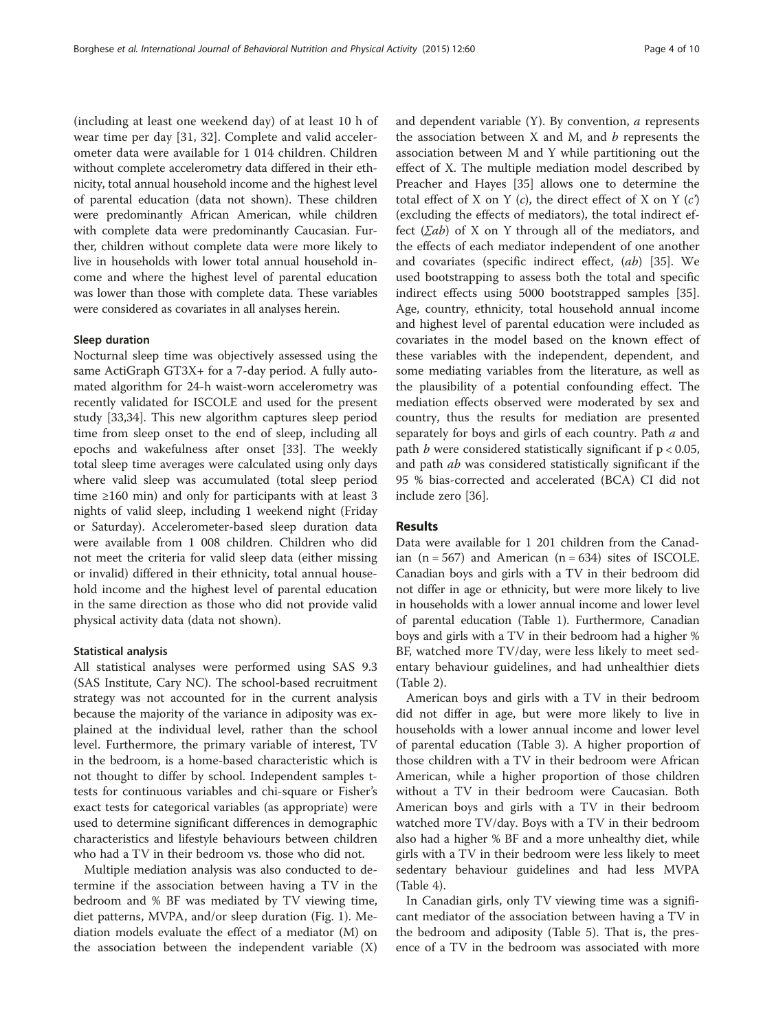(including at least one weekend day) of at least 10 h of wear time per day [[31, 32](#page-9-0)]. Complete and valid accelerometer data were available for 1 014 children. Children without complete accelerometry data differed in their ethnicity, total annual household income and the highest level of parental education (data not shown). These children were predominantly African American, while children with complete data were predominantly Caucasian. Further, children without complete data were more likely to live in households with lower total annual household income and where the highest level of parental education was lower than those with complete data. These variables were considered as covariates in all analyses herein.

#### Sleep duration

Nocturnal sleep time was objectively assessed using the same ActiGraph GT3X+ for a 7-day period. A fully automated algorithm for 24-h waist-worn accelerometry was recently validated for ISCOLE and used for the present study [\[33,34](#page-9-0)]. This new algorithm captures sleep period time from sleep onset to the end of sleep, including all epochs and wakefulness after onset [\[33](#page-9-0)]. The weekly total sleep time averages were calculated using only days where valid sleep was accumulated (total sleep period time ≥160 min) and only for participants with at least 3 nights of valid sleep, including 1 weekend night (Friday or Saturday). Accelerometer-based sleep duration data were available from 1 008 children. Children who did not meet the criteria for valid sleep data (either missing or invalid) differed in their ethnicity, total annual household income and the highest level of parental education in the same direction as those who did not provide valid physical activity data (data not shown).

#### Statistical analysis

All statistical analyses were performed using SAS 9.3 (SAS Institute, Cary NC). The school-based recruitment strategy was not accounted for in the current analysis because the majority of the variance in adiposity was explained at the individual level, rather than the school level. Furthermore, the primary variable of interest, TV in the bedroom, is a home-based characteristic which is not thought to differ by school. Independent samples ttests for continuous variables and chi-square or Fisher's exact tests for categorical variables (as appropriate) were used to determine significant differences in demographic characteristics and lifestyle behaviours between children who had a TV in their bedroom vs. those who did not.

Multiple mediation analysis was also conducted to determine if the association between having a TV in the bedroom and % BF was mediated by TV viewing time, diet patterns, MVPA, and/or sleep duration (Fig. [1](#page-4-0)). Mediation models evaluate the effect of a mediator (M) on the association between the independent variable (X)

and dependent variable  $(Y)$ . By convention, *a* represents the association between  $X$  and  $M$ , and  $b$  represents the association between M and Y while partitioning out the effect of X. The multiple mediation model described by Preacher and Hayes [\[35\]](#page-9-0) allows one to determine the total effect of X on Y  $(c)$ , the direct effect of X on Y  $(c')$ (excluding the effects of mediators), the total indirect effect  $(\Sigma ab)$  of X on Y through all of the mediators, and the effects of each mediator independent of one another and covariates (specific indirect effect, (ab) [\[35](#page-9-0)]. We used bootstrapping to assess both the total and specific indirect effects using 5000 bootstrapped samples [\[35](#page-9-0)]. Age, country, ethnicity, total household annual income and highest level of parental education were included as covariates in the model based on the known effect of these variables with the independent, dependent, and some mediating variables from the literature, as well as the plausibility of a potential confounding effect. The mediation effects observed were moderated by sex and country, thus the results for mediation are presented separately for boys and girls of each country. Path  $a$  and path *b* were considered statistically significant if  $p < 0.05$ , and path ab was considered statistically significant if the 95 % bias-corrected and accelerated (BCA) CI did not include zero [\[36\]](#page-9-0).

#### Results

Data were available for 1 201 children from the Canadian  $(n = 567)$  and American  $(n = 634)$  sites of ISCOLE. Canadian boys and girls with a TV in their bedroom did not differ in age or ethnicity, but were more likely to live in households with a lower annual income and lower level of parental education (Table [1](#page-5-0)). Furthermore, Canadian boys and girls with a TV in their bedroom had a higher % BF, watched more TV/day, were less likely to meet sedentary behaviour guidelines, and had unhealthier diets (Table [2](#page-5-0)).

American boys and girls with a TV in their bedroom did not differ in age, but were more likely to live in households with a lower annual income and lower level of parental education (Table [3](#page-6-0)). A higher proportion of those children with a TV in their bedroom were African American, while a higher proportion of those children without a TV in their bedroom were Caucasian. Both American boys and girls with a TV in their bedroom watched more TV/day. Boys with a TV in their bedroom also had a higher % BF and a more unhealthy diet, while girls with a TV in their bedroom were less likely to meet sedentary behaviour guidelines and had less MVPA (Table [4\)](#page-6-0).

In Canadian girls, only TV viewing time was a significant mediator of the association between having a TV in the bedroom and adiposity (Table [5\)](#page-7-0). That is, the presence of a TV in the bedroom was associated with more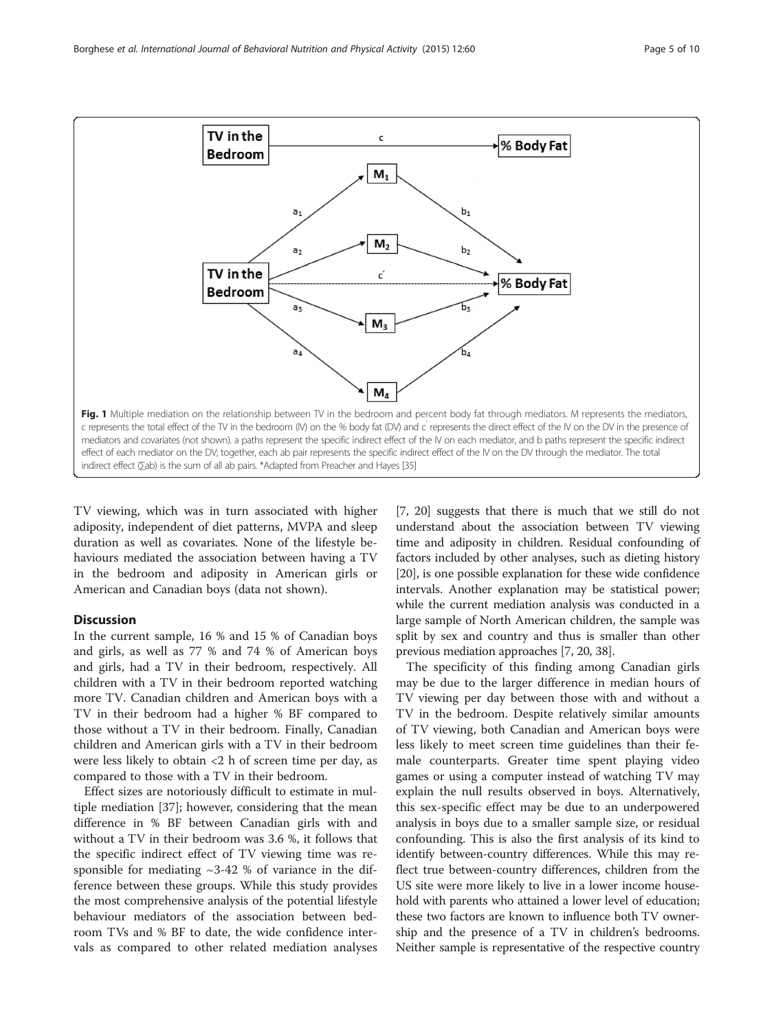<span id="page-4-0"></span>

TV viewing, which was in turn associated with higher adiposity, independent of diet patterns, MVPA and sleep duration as well as covariates. None of the lifestyle behaviours mediated the association between having a TV in the bedroom and adiposity in American girls or American and Canadian boys (data not shown).

# Discussion

In the current sample, 16 % and 15 % of Canadian boys and girls, as well as 77 % and 74 % of American boys and girls, had a TV in their bedroom, respectively. All children with a TV in their bedroom reported watching more TV. Canadian children and American boys with a TV in their bedroom had a higher % BF compared to those without a TV in their bedroom. Finally, Canadian children and American girls with a TV in their bedroom were less likely to obtain <2 h of screen time per day, as compared to those with a TV in their bedroom.

Effect sizes are notoriously difficult to estimate in multiple mediation [\[37\]](#page-9-0); however, considering that the mean difference in % BF between Canadian girls with and without a TV in their bedroom was 3.6 %, it follows that the specific indirect effect of TV viewing time was responsible for mediating  $\sim$ 3-42 % of variance in the difference between these groups. While this study provides the most comprehensive analysis of the potential lifestyle behaviour mediators of the association between bedroom TVs and % BF to date, the wide confidence intervals as compared to other related mediation analyses

[[7,](#page-8-0) [20\]](#page-9-0) suggests that there is much that we still do not understand about the association between TV viewing time and adiposity in children. Residual confounding of factors included by other analyses, such as dieting history [[20](#page-9-0)], is one possible explanation for these wide confidence intervals. Another explanation may be statistical power; while the current mediation analysis was conducted in a large sample of North American children, the sample was split by sex and country and thus is smaller than other previous mediation approaches [[7](#page-8-0), [20, 38](#page-9-0)].

The specificity of this finding among Canadian girls may be due to the larger difference in median hours of TV viewing per day between those with and without a TV in the bedroom. Despite relatively similar amounts of TV viewing, both Canadian and American boys were less likely to meet screen time guidelines than their female counterparts. Greater time spent playing video games or using a computer instead of watching TV may explain the null results observed in boys. Alternatively, this sex-specific effect may be due to an underpowered analysis in boys due to a smaller sample size, or residual confounding. This is also the first analysis of its kind to identify between-country differences. While this may reflect true between-country differences, children from the US site were more likely to live in a lower income household with parents who attained a lower level of education; these two factors are known to influence both TV ownership and the presence of a TV in children's bedrooms. Neither sample is representative of the respective country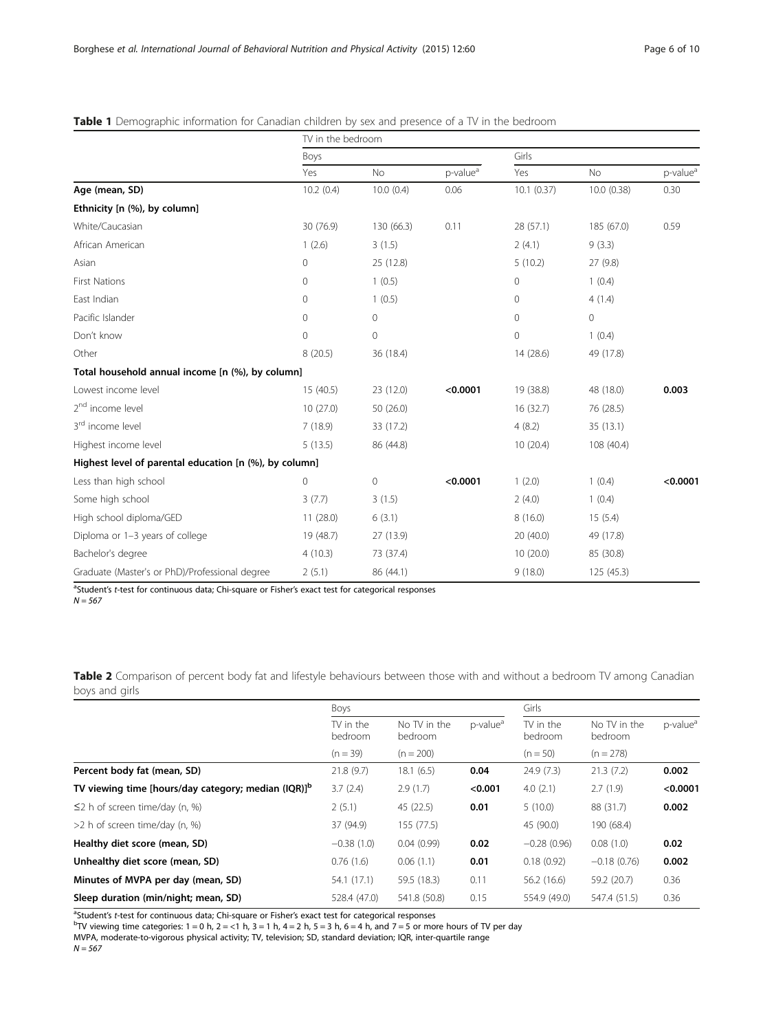# <span id="page-5-0"></span>Table 1 Demographic information for Canadian children by sex and presence of a TV in the bedroom

|                                                        | TV in the bedroom |            |                      |              |             |                      |  |
|--------------------------------------------------------|-------------------|------------|----------------------|--------------|-------------|----------------------|--|
|                                                        | Boys              |            |                      |              | Girls       |                      |  |
|                                                        | Yes               | No         | p-value <sup>a</sup> | Yes          | <b>No</b>   | p-value <sup>a</sup> |  |
| Age (mean, SD)                                         | 10.2(0.4)         | 10.0(0.4)  | 0.06                 | 10.1 (0.37)  | 10.0 (0.38) | 0.30                 |  |
| Ethnicity [n (%), by column]                           |                   |            |                      |              |             |                      |  |
| White/Caucasian                                        | 30 (76.9)         | 130 (66.3) | 0.11                 | 28 (57.1)    | 185 (67.0)  | 0.59                 |  |
| African American                                       | 1(2.6)            | 3(1.5)     |                      | 2(4.1)       | 9(3.3)      |                      |  |
| Asian                                                  | $\mathbf 0$       | 25 (12.8)  |                      | 5(10.2)      | 27 (9.8)    |                      |  |
| <b>First Nations</b>                                   | $\mathbf{0}$      | 1(0.5)     |                      | $\mathbf{0}$ | 1(0.4)      |                      |  |
| East Indian                                            | $\mathbf{0}$      | 1(0.5)     |                      | $\mathbf{0}$ | 4(1.4)      |                      |  |
| Pacific Islander                                       | $\mathbf 0$       | 0          |                      | $\mathbf 0$  | $\circ$     |                      |  |
| Don't know                                             | $\mathbf{0}$      | 0          |                      | 0            | 1(0.4)      |                      |  |
| Other                                                  | 8(20.5)           | 36 (18.4)  |                      | 14 (28.6)    | 49 (17.8)   |                      |  |
| Total household annual income [n (%), by column]       |                   |            |                      |              |             |                      |  |
| Lowest income level                                    | 15 (40.5)         | 23 (12.0)  | < 0.0001             | 19 (38.8)    | 48 (18.0)   | 0.003                |  |
| 2 <sup>nd</sup> income level                           | 10(27.0)          | 50 (26.0)  |                      | 16 (32.7)    | 76 (28.5)   |                      |  |
| 3 <sup>rd</sup> income level                           | 7(18.9)           | 33 (17.2)  |                      | 4(8.2)       | 35(13.1)    |                      |  |
| Highest income level                                   | 5(13.5)           | 86 (44.8)  |                      | 10(20.4)     | 108 (40.4)  |                      |  |
| Highest level of parental education [n (%), by column] |                   |            |                      |              |             |                      |  |
| Less than high school                                  | $\mathbf 0$       | 0          | < 0.0001             | 1(2.0)       | 1(0.4)      | < 0.0001             |  |
| Some high school                                       | 3(7.7)            | 3(1.5)     |                      | 2(4.0)       | 1(0.4)      |                      |  |
| High school diploma/GED                                | 11(28.0)          | 6(3.1)     |                      | 8(16.0)      | 15(5.4)     |                      |  |
| Diploma or 1-3 years of college                        | 19 (48.7)         | 27 (13.9)  |                      | 20 (40.0)    | 49 (17.8)   |                      |  |
| Bachelor's degree                                      | 4(10.3)           | 73 (37.4)  |                      | 10(20.0)     | 85 (30.8)   |                      |  |
| Graduate (Master's or PhD)/Professional degree         | 2(5.1)            | 86 (44.1)  |                      | 9(18.0)      | 125 (45.3)  |                      |  |

<sup>a</sup>Student's t-test for continuous data; Chi-square or Fisher's exact test for categorical responses

 $N = 567$ 

Table 2 Comparison of percent body fat and lifestyle behaviours between those with and without a bedroom TV among Canadian boys and girls

|                                                                 | Boys                 |                         |                      | Girls                |                         |                      |
|-----------------------------------------------------------------|----------------------|-------------------------|----------------------|----------------------|-------------------------|----------------------|
|                                                                 | TV in the<br>bedroom | No TV in the<br>bedroom | p-value <sup>a</sup> | TV in the<br>bedroom | No TV in the<br>bedroom | p-value <sup>a</sup> |
|                                                                 | $(n = 39)$           | $(n = 200)$             |                      | $(n = 50)$           | $(n = 278)$             |                      |
| Percent body fat (mean, SD)                                     | 21.8(9.7)            | 18.1(6.5)               | 0.04                 | 24.9(7.3)            | 21.3(7.2)               | 0.002                |
| TV viewing time [hours/day category; median (IQR)] <sup>b</sup> | 3.7(2.4)             | 2.9(1.7)                | < 0.001              | 4.0(2.1)             | 2.7(1.9)                | < 0.0001             |
| $\leq$ h of screen time/day (n, %)                              | 2(5.1)               | 45 (22.5)               | 0.01                 | 5(10.0)              | 88 (31.7)               | 0.002                |
| >2 h of screen time/day (n, %)                                  | 37 (94.9)            | 155 (77.5)              |                      | 45 (90.0)            | 190 (68.4)              |                      |
| Healthy diet score (mean, SD)                                   | $-0.38(1.0)$         | 0.04(0.99)              | 0.02                 | $-0.28(0.96)$        | 0.08(1.0)               | 0.02                 |
| Unhealthy diet score (mean, SD)                                 | 0.76(1.6)            | 0.06(1.1)               | 0.01                 | 0.18(0.92)           | $-0.18(0.76)$           | 0.002                |
| Minutes of MVPA per day (mean, SD)                              | 54.1 (17.1)          | 59.5 (18.3)             | 0.11                 | 56.2 (16.6)          | 59.2 (20.7)             | 0.36                 |
| Sleep duration (min/night; mean, SD)                            | 528.4 (47.0)         | 541.8 (50.8)            | 0.15                 | 554.9 (49.0)         | 547.4 (51.5)            | 0.36                 |

<sup>a</sup>Student's *t-*test for continuous data; Chi-square or Fisher's exact test for categorical responses<br><sup>b</sup>TV viewing time categories: 1 = 0 h, 2 = <1 h, 3 = 1 h, 4 = 2 h, 5 = 3 h, 6 = 4 h, and 7 = 5 or more hours of TV per

MVPA, moderate-to-vigorous physical activity; TV, television; SD, standard deviation; IQR, inter-quartile range  $N = 567$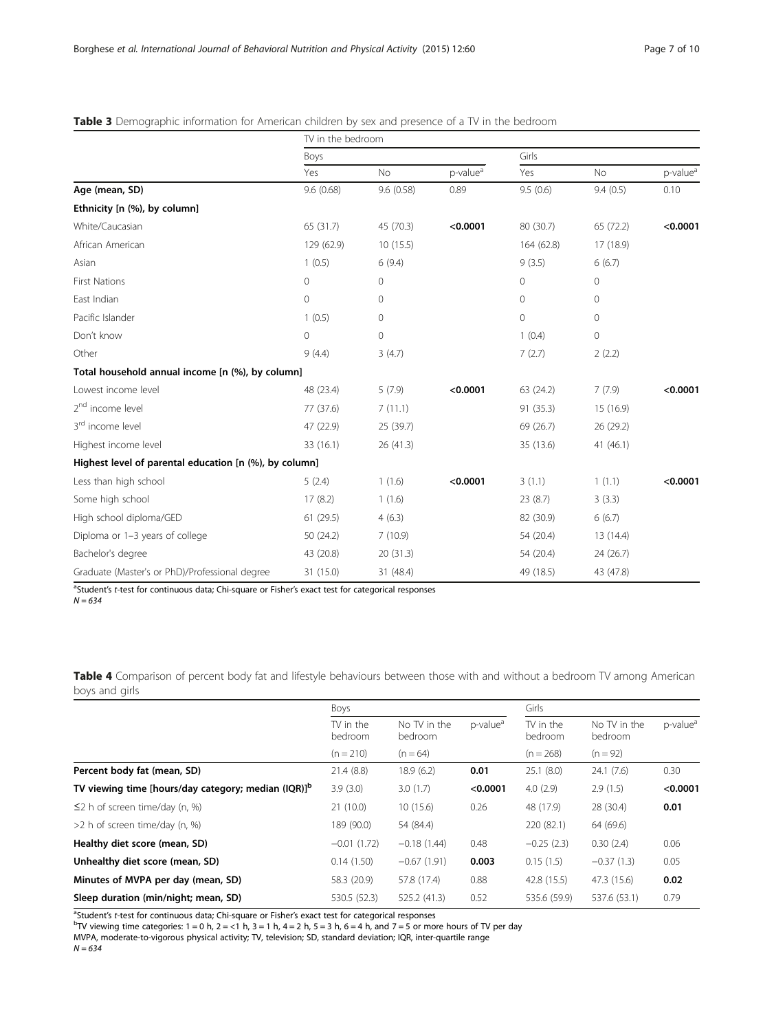# <span id="page-6-0"></span>Table 3 Demographic information for American children by sex and presence of a TV in the bedroom

|                                                        | TV in the bedroom |             |                      |              |                     |                      |  |
|--------------------------------------------------------|-------------------|-------------|----------------------|--------------|---------------------|----------------------|--|
|                                                        | Boys              |             |                      |              | Girls               |                      |  |
|                                                        | Yes               | <b>No</b>   | p-value <sup>a</sup> | Yes          | <b>No</b>           | p-value <sup>a</sup> |  |
| Age (mean, SD)                                         | 9.6(0.68)         | 9.6 (0.58)  | 0.89                 | 9.5(0.6)     | 9.4(0.5)            | 0.10                 |  |
| Ethnicity [n (%), by column]                           |                   |             |                      |              |                     |                      |  |
| White/Caucasian                                        | 65 (31.7)         | 45 (70.3)   | < 0.0001             | 80 (30.7)    | 65 (72.2)           | < 0.0001             |  |
| African American                                       | 129 (62.9)        | 10(15.5)    |                      | 164 (62.8)   | 17 (18.9)           |                      |  |
| Asian                                                  | 1(0.5)            | 6(9.4)      |                      | 9(3.5)       | 6(6.7)              |                      |  |
| <b>First Nations</b>                                   | 0                 | 0           |                      | $\mathbf{0}$ | $\mathsf{O}\xspace$ |                      |  |
| East Indian                                            | 0                 | 0           |                      | $\mathbf{0}$ | 0                   |                      |  |
| Pacific Islander                                       | 1(0.5)            | 0           |                      | $\mathbf{0}$ | 0                   |                      |  |
| Don't know                                             | $\mathbf 0$       | $\mathbf 0$ |                      | 1(0.4)       | $\mathsf{O}\xspace$ |                      |  |
| Other                                                  | 9(4.4)            | 3(4.7)      |                      | 7(2.7)       | 2(2.2)              |                      |  |
| Total household annual income [n (%), by column]       |                   |             |                      |              |                     |                      |  |
| Lowest income level                                    | 48 (23.4)         | 5(7.9)      | < 0.0001             | 63 (24.2)    | 7(7.9)              | < 0.0001             |  |
| 2 <sup>nd</sup> income level                           | 77 (37.6)         | 7(11.1)     |                      | 91 (35.3)    | 15 (16.9)           |                      |  |
| 3 <sup>rd</sup> income level                           | 47 (22.9)         | 25 (39.7)   |                      | 69 (26.7)    | 26 (29.2)           |                      |  |
| Highest income level                                   | 33 (16.1)         | 26(41.3)    |                      | 35 (13.6)    | 41(46.1)            |                      |  |
| Highest level of parental education [n (%), by column] |                   |             |                      |              |                     |                      |  |
| Less than high school                                  | 5(2.4)            | 1(1.6)      | < 0.0001             | 3(1.1)       | 1(1.1)              | < 0.0001             |  |
| Some high school                                       | 17(8.2)           | 1(1.6)      |                      | 23(8.7)      | 3(3.3)              |                      |  |
| High school diploma/GED                                | 61(29.5)          | 4(6.3)      |                      | 82 (30.9)    | 6(6.7)              |                      |  |
| Diploma or 1-3 years of college                        | 50 (24.2)         | 7(10.9)     |                      | 54 (20.4)    | 13 (14.4)           |                      |  |
| Bachelor's degree                                      | 43 (20.8)         | 20(31.3)    |                      | 54 (20.4)    | 24 (26.7)           |                      |  |
| Graduate (Master's or PhD)/Professional degree         | 31 (15.0)         | 31 (48.4)   |                      | 49 (18.5)    | 43 (47.8)           |                      |  |

<sup>a</sup>Student's t-test for continuous data; Chi-square or Fisher's exact test for categorical responses

Table 4 Comparison of percent body fat and lifestyle behaviours between those with and without a bedroom TV among American boys and girls

|                                                                 | Boys                 |                         |                      | Girls                |                         |                      |
|-----------------------------------------------------------------|----------------------|-------------------------|----------------------|----------------------|-------------------------|----------------------|
|                                                                 | TV in the<br>bedroom | No TV in the<br>bedroom | p-value <sup>a</sup> | TV in the<br>bedroom | No TV in the<br>bedroom | p-value <sup>a</sup> |
|                                                                 | $(n = 210)$          | $(n = 64)$              |                      | $(n = 268)$          | $(n = 92)$              |                      |
| Percent body fat (mean, SD)                                     | 21.4(8.8)            | 18.9(6.2)               | 0.01                 | 25.1(8.0)            | 24.1(7.6)               | 0.30                 |
| TV viewing time [hours/day category; median (IQR)] <sup>b</sup> | 3.9(3.0)             | 3.0(1.7)                | < 0.0001             | 4.0(2.9)             | 2.9(1.5)                | < 0.0001             |
| $\leq$ h of screen time/day (n, %)                              | 21(10.0)             | 10(15.6)                | 0.26                 | 48 (17.9)            | 28 (30.4)               | 0.01                 |
| >2 h of screen time/day (n, %)                                  | 189 (90.0)           | 54 (84.4)               |                      | 220 (82.1)           | 64 (69.6)               |                      |
| Healthy diet score (mean, SD)                                   | $-0.01(1.72)$        | $-0.18(1.44)$           | 0.48                 | $-0.25(2.3)$         | 0.30(2.4)               | 0.06                 |
| Unhealthy diet score (mean, SD)                                 | 0.14(1.50)           | $-0.67(1.91)$           | 0.003                | 0.15(1.5)            | $-0.37(1.3)$            | 0.05                 |
| Minutes of MVPA per day (mean, SD)                              | 58.3 (20.9)          | 57.8 (17.4)             | 0.88                 | 42.8 (15.5)          | 47.3 (15.6)             | 0.02                 |
| Sleep duration (min/night; mean, SD)                            | 530.5 (52.3)         | 525.2 (41.3)            | 0.52                 | 535.6 (59.9)         | 537.6 (53.1)            | 0.79                 |

<sup>a</sup>Student's *t-*test for continuous data; Chi-square or Fisher's exact test for categorical responses<br><sup>b</sup>TV viewing time categories: 1 = 0 h, 2 = <1 h, 3 = 1 h, 4 = 2 h, 5 = 3 h, 6 = 4 h, and 7 = 5 or more hours of TV per

 $N = 634$ 

MVPA, moderate-to-vigorous physical activity; TV, television; SD, standard deviation; IQR, inter-quartile range  $N = 634$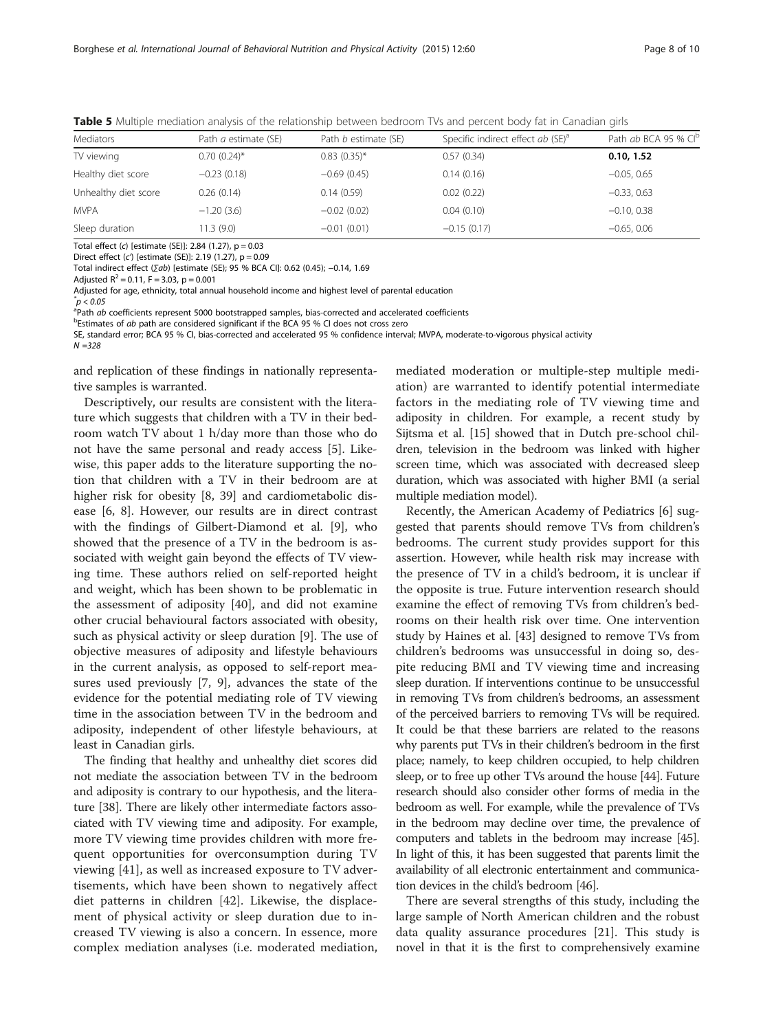| <b>Mediators</b>     | Path <i>a</i> estimate (SE) | Path <i>b</i> estimate (SE) | Specific indirect effect ab (SE) <sup>a</sup> | Path $ab$ BCA 95 % CI <sup>b</sup> |
|----------------------|-----------------------------|-----------------------------|-----------------------------------------------|------------------------------------|
| TV viewing           | $0.70(0.24)$ *              | $0.83(0.35)^*$              | 0.57(0.34)                                    | 0.10, 1.52                         |
| Healthy diet score   | $-0.23(0.18)$               | $-0.69(0.45)$               | 0.14(0.16)                                    | $-0.05, 0.65$                      |
| Unhealthy diet score | 0.26(0.14)                  | 0.14(0.59)                  | 0.02(0.22)                                    | $-0.33, 0.63$                      |
| <b>MVPA</b>          | $-1.20(3.6)$                | $-0.02(0.02)$               | 0.04(0.10)                                    | $-0.10, 0.38$                      |
| Sleep duration       | 11.3(9.0)                   | $-0.01(0.01)$               | $-0.15(0.17)$                                 | $-0.65, 0.06$                      |

<span id="page-7-0"></span>Table 5 Multiple mediation analysis of the relationship between bedroom TVs and percent body fat in Canadian girls

Total effect (c) [estimate (SE)]: 2.84 (1.27),  $p = 0.03$ 

Direct effect (c') [estimate (SE)]: 2.19 (1.27), p = 0.09

Total indirect effect (∑ab) [estimate (SE); 95 % BCA CI]: 0.62 (0.45); −0.14, 1.69

Adjusted  $R^2 = 0.11$ ,  $F = 3.03$ ,  $p = 0.001$ 

Adjusted for age, ethnicity, total annual household income and highest level of parental education

 $p^*$  < 0.05

 $N = 328$ 

apath *ab* coefficients represent 5000 bootstrapped samples, bias-corrected and accelerated coefficients<br>PEstimates of ab path are considered significant if the BCA 95 % CL does not cross zero

 $b$ Estimates of ab path are considered significant if the BCA 95 % CI does not cross zero

SE, standard error; BCA 95 % CI, bias-corrected and accelerated 95 % confidence interval; MVPA, moderate-to-vigorous physical activity

and replication of these findings in nationally representative samples is warranted.

Descriptively, our results are consistent with the literature which suggests that children with a TV in their bedroom watch TV about 1 h/day more than those who do not have the same personal and ready access [\[5](#page-8-0)]. Likewise, this paper adds to the literature supporting the notion that children with a TV in their bedroom are at higher risk for obesity [[8,](#page-8-0) [39](#page-9-0)] and cardiometabolic disease [\[6](#page-8-0), [8\]](#page-8-0). However, our results are in direct contrast with the findings of Gilbert-Diamond et al. [\[9](#page-8-0)], who showed that the presence of a TV in the bedroom is associated with weight gain beyond the effects of TV viewing time. These authors relied on self-reported height and weight, which has been shown to be problematic in the assessment of adiposity [[40\]](#page-9-0), and did not examine other crucial behavioural factors associated with obesity, such as physical activity or sleep duration [[9\]](#page-8-0). The use of objective measures of adiposity and lifestyle behaviours in the current analysis, as opposed to self-report measures used previously [\[7](#page-8-0), [9](#page-8-0)], advances the state of the evidence for the potential mediating role of TV viewing time in the association between TV in the bedroom and adiposity, independent of other lifestyle behaviours, at least in Canadian girls.

The finding that healthy and unhealthy diet scores did not mediate the association between TV in the bedroom and adiposity is contrary to our hypothesis, and the literature [\[38\]](#page-9-0). There are likely other intermediate factors associated with TV viewing time and adiposity. For example, more TV viewing time provides children with more frequent opportunities for overconsumption during TV viewing [\[41](#page-9-0)], as well as increased exposure to TV advertisements, which have been shown to negatively affect diet patterns in children [[42](#page-9-0)]. Likewise, the displacement of physical activity or sleep duration due to increased TV viewing is also a concern. In essence, more complex mediation analyses (i.e. moderated mediation,

mediated moderation or multiple-step multiple mediation) are warranted to identify potential intermediate factors in the mediating role of TV viewing time and adiposity in children. For example, a recent study by Sijtsma et al. [\[15](#page-9-0)] showed that in Dutch pre-school children, television in the bedroom was linked with higher screen time, which was associated with decreased sleep duration, which was associated with higher BMI (a serial multiple mediation model).

Recently, the American Academy of Pediatrics [[6\]](#page-8-0) suggested that parents should remove TVs from children's bedrooms. The current study provides support for this assertion. However, while health risk may increase with the presence of TV in a child's bedroom, it is unclear if the opposite is true. Future intervention research should examine the effect of removing TVs from children's bedrooms on their health risk over time. One intervention study by Haines et al. [[43\]](#page-9-0) designed to remove TVs from children's bedrooms was unsuccessful in doing so, despite reducing BMI and TV viewing time and increasing sleep duration. If interventions continue to be unsuccessful in removing TVs from children's bedrooms, an assessment of the perceived barriers to removing TVs will be required. It could be that these barriers are related to the reasons why parents put TVs in their children's bedroom in the first place; namely, to keep children occupied, to help children sleep, or to free up other TVs around the house [[44](#page-9-0)]. Future research should also consider other forms of media in the bedroom as well. For example, while the prevalence of TVs in the bedroom may decline over time, the prevalence of computers and tablets in the bedroom may increase [\[45](#page-9-0)]. In light of this, it has been suggested that parents limit the availability of all electronic entertainment and communication devices in the child's bedroom [\[46\]](#page-9-0).

There are several strengths of this study, including the large sample of North American children and the robust data quality assurance procedures [\[21\]](#page-9-0). This study is novel in that it is the first to comprehensively examine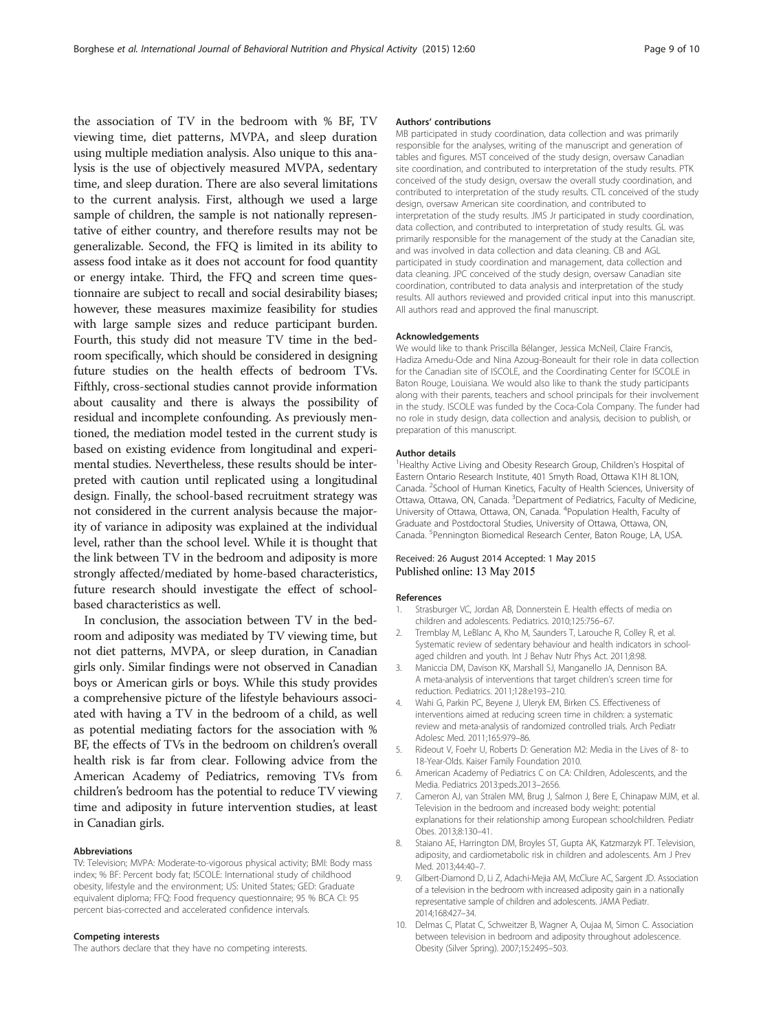<span id="page-8-0"></span>the association of TV in the bedroom with % BF, TV viewing time, diet patterns, MVPA, and sleep duration using multiple mediation analysis. Also unique to this analysis is the use of objectively measured MVPA, sedentary time, and sleep duration. There are also several limitations to the current analysis. First, although we used a large sample of children, the sample is not nationally representative of either country, and therefore results may not be generalizable. Second, the FFQ is limited in its ability to assess food intake as it does not account for food quantity or energy intake. Third, the FFQ and screen time questionnaire are subject to recall and social desirability biases; however, these measures maximize feasibility for studies with large sample sizes and reduce participant burden. Fourth, this study did not measure TV time in the bedroom specifically, which should be considered in designing future studies on the health effects of bedroom TVs. Fifthly, cross-sectional studies cannot provide information about causality and there is always the possibility of residual and incomplete confounding. As previously mentioned, the mediation model tested in the current study is based on existing evidence from longitudinal and experimental studies. Nevertheless, these results should be interpreted with caution until replicated using a longitudinal design. Finally, the school-based recruitment strategy was not considered in the current analysis because the majority of variance in adiposity was explained at the individual level, rather than the school level. While it is thought that the link between TV in the bedroom and adiposity is more strongly affected/mediated by home-based characteristics, future research should investigate the effect of schoolbased characteristics as well.

In conclusion, the association between TV in the bedroom and adiposity was mediated by TV viewing time, but not diet patterns, MVPA, or sleep duration, in Canadian girls only. Similar findings were not observed in Canadian boys or American girls or boys. While this study provides a comprehensive picture of the lifestyle behaviours associated with having a TV in the bedroom of a child, as well as potential mediating factors for the association with % BF, the effects of TVs in the bedroom on children's overall health risk is far from clear. Following advice from the American Academy of Pediatrics, removing TVs from children's bedroom has the potential to reduce TV viewing time and adiposity in future intervention studies, at least in Canadian girls.

#### Abbreviations

TV: Television; MVPA: Moderate-to-vigorous physical activity; BMI: Body mass index; % BF: Percent body fat; ISCOLE: International study of childhood obesity, lifestyle and the environment; US: United States; GED: Graduate equivalent diploma; FFQ: Food frequency questionnaire; 95 % BCA CI: 95 percent bias-corrected and accelerated confidence intervals.

#### Competing interests

The authors declare that they have no competing interests.

#### Authors' contributions

MB participated in study coordination, data collection and was primarily responsible for the analyses, writing of the manuscript and generation of tables and figures. MST conceived of the study design, oversaw Canadian site coordination, and contributed to interpretation of the study results. PTK conceived of the study design, oversaw the overall study coordination, and contributed to interpretation of the study results. CTL conceived of the study design, oversaw American site coordination, and contributed to interpretation of the study results. JMS Jr participated in study coordination, data collection, and contributed to interpretation of study results. GL was primarily responsible for the management of the study at the Canadian site, and was involved in data collection and data cleaning. CB and AGL participated in study coordination and management, data collection and data cleaning. JPC conceived of the study design, oversaw Canadian site coordination, contributed to data analysis and interpretation of the study results. All authors reviewed and provided critical input into this manuscript. All authors read and approved the final manuscript.

#### Acknowledgements

We would like to thank Priscilla Bélanger, Jessica McNeil, Claire Francis, Hadiza Amedu-Ode and Nina Azoug-Boneault for their role in data collection for the Canadian site of ISCOLE, and the Coordinating Center for ISCOLE in Baton Rouge, Louisiana. We would also like to thank the study participants along with their parents, teachers and school principals for their involvement in the study. ISCOLE was funded by the Coca-Cola Company. The funder had no role in study design, data collection and analysis, decision to publish, or preparation of this manuscript.

#### Author details

<sup>1</sup> Healthy Active Living and Obesity Research Group, Children's Hospital of Eastern Ontario Research Institute, 401 Smyth Road, Ottawa K1H 8L1ON, Canada. <sup>2</sup>School of Human Kinetics, Faculty of Health Sciences, University of Ottawa, Ottawa, ON, Canada. <sup>3</sup>Department of Pediatrics, Faculty of Medicine University of Ottawa, Ottawa, ON, Canada. <sup>4</sup>Population Health, Faculty of Graduate and Postdoctoral Studies, University of Ottawa, Ottawa, ON, Canada. <sup>5</sup>Pennington Biomedical Research Center, Baton Rouge, LA, USA

#### Received: 26 August 2014 Accepted: 1 May 2015 Published online: 13 May 2015

#### References

- 1. Strasburger VC, Jordan AB, Donnerstein E. Health effects of media on children and adolescents. Pediatrics. 2010;125:756–67.
- 2. Tremblay M, LeBlanc A, Kho M, Saunders T, Larouche R, Colley R, et al. Systematic review of sedentary behaviour and health indicators in schoolaged children and youth. Int J Behav Nutr Phys Act. 2011;8:98.
- 3. Maniccia DM, Davison KK, Marshall SJ, Manganello JA, Dennison BA. A meta-analysis of interventions that target children's screen time for reduction. Pediatrics. 2011;128:e193–210.
- 4. Wahi G, Parkin PC, Beyene J, Uleryk EM, Birken CS. Effectiveness of interventions aimed at reducing screen time in children: a systematic review and meta-analysis of randomized controlled trials. Arch Pediatr Adolesc Med. 2011;165:979–86.
- 5. Rideout V, Foehr U, Roberts D: Generation M2: Media in the Lives of 8- to 18-Year-Olds. Kaiser Family Foundation 2010.
- 6. American Academy of Pediatrics C on CA: Children, Adolescents, and the Media. Pediatrics 2013:peds.2013–2656.
- 7. Cameron AJ, van Stralen MM, Brug J, Salmon J, Bere E, Chinapaw MJM, et al. Television in the bedroom and increased body weight: potential explanations for their relationship among European schoolchildren. Pediatr Obes. 2013;8:130–41.
- 8. Staiano AE, Harrington DM, Broyles ST, Gupta AK, Katzmarzyk PT. Television, adiposity, and cardiometabolic risk in children and adolescents. Am J Prev Med. 2013;44:40–7.
- 9. Gilbert-Diamond D, Li Z, Adachi-Mejia AM, McClure AC, Sargent JD. Association of a television in the bedroom with increased adiposity gain in a nationally representative sample of children and adolescents. JAMA Pediatr. 2014;168:427–34.
- 10. Delmas C, Platat C, Schweitzer B, Wagner A, Oujaa M, Simon C. Association between television in bedroom and adiposity throughout adolescence. Obesity (Silver Spring). 2007;15:2495–503.